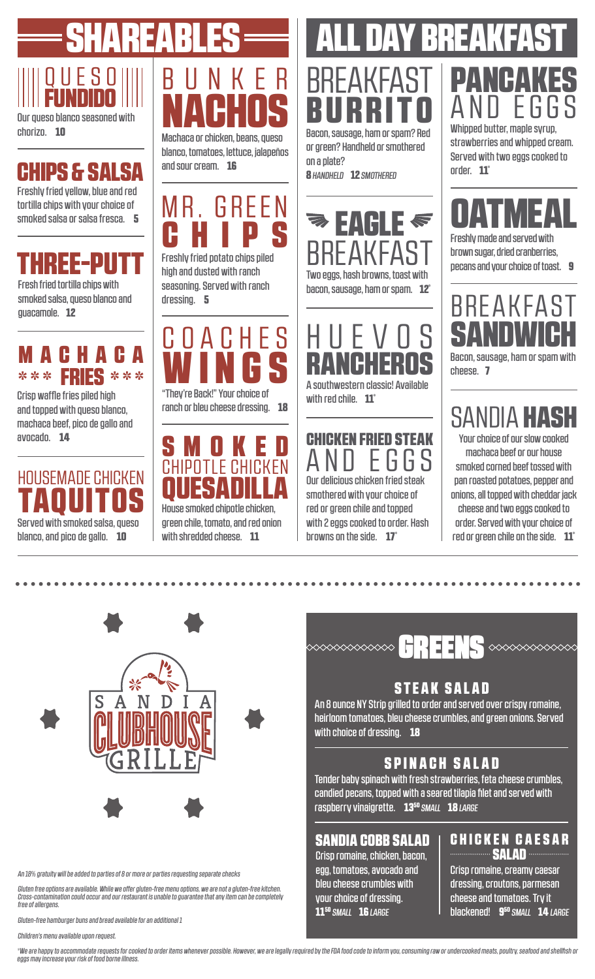# Q U E S O FUNDIDO SHAREABLES

Our queso blanco seasoned with chorizo. 10

## CHIPS & SALSA

Freshly fried yellow, blue and red tortilla chips with your choice of smoked salsa or salsa fresca. 5

## HREE-PU

Fresh fried tortilla chips with smoked salsa, queso blanco and guacamole. 12

## 6 H A 6 A \*\*\* FR**FS** \*\*\*

Crisp waffle fries piled high and topped with queso blanco, machaca beef, pico de gallo and avocado. 14

## **HOUSEMADE CHICKEN** TAQUITOS

Served with smoked salsa, queso blanco, and pico de gallo. **10** 



blanco, tomatoes, lettuce, jalapeños and sour cream. 16

MR. GREEN **CHIPS** 

Freshly fried potato chips piled high and dusted with ranch seasoning. Served with ranch dressing. 5



ranch or bleu cheese dressing. 18



House smoked chipotle chicken, green chile, tomato, and red onion with shredded cheese. 11

## **AY BREAK** Bacon, sausage, ham or spam? Red Whipped butter, maple syrup, **BREAKFAST** BURRITO

or green? Handheld or smothered on a plate? 8 *HANDHELD* 12 *SMOTHERED* 





with red chile.  $11^{\degree}$ 

## CHICKEN FRIED STEAK<br> $\mathsf A\mathsf N\mathsf D\ \ \mathsf F\mathsf G\mathsf G\mathsf S$ EGGS

Our delicious chicken fried steak smothered with your choice of red or green chile and topped with 2 eggs cooked to order. Hash browns on the side.  $17^{\circ}$ 

# **PANCAKES** AND EGGS

strawberries and whipped cream. Served with two eggs cooked to order. 11\*

# IF A

Freshly made and served with brown sugar, dried cranberries, pecans and your choice of toast. 9

Bacon, sausage, ham or spam with BREAKFAS

cheese. 7

# SANDIA HASH

Your choice of our slow cooked machaca beef or our house smoked corned beef tossed with pan roasted potatoes, pepper and onions, all topped with cheddar jack cheese and two eggs cooked to order. Served with your choice of red or green chile on the side.  $11^*$ 



*An 18% gratuity will be added to parties of 8 or more or parties requesting separate checks*

*Gluten free options are available. While we offer gluten-free menu options, we are not a gluten-free kitchen. Cross-contamination could occur and our restaurant is unable to guarantee that any item can be completely free of allergens.*

*Gluten-free hamburger buns and bread available for an additional 1*

*Children's menu available upon request.* 

 $\infty$ 

### STEAK SALAD

An 8 ounce NY Strip grilled to order and served over crispy romaine, heirloom tomatoes, bleu cheese crumbles, and green onions. Served with choice of dressing. 18

### SPINACH SALAD

Tender baby spinach with fresh strawberries, feta cheese crumbles, candied pecans, topped with a seared tilapia filet and served with raspberry vinaigrette. 1350 *SMALL* 18 *LARGE*

### SANDIA COBB SALAD

Crisp romaine, chicken, bacon, egg, tomatoes, avocado and bleu cheese crumbles with your choice of dressing. 1150 *SMALL* 16 *LARGE*

#### **CHICKEN CAESAR SALAD**

Crisp romaine, creamy caesar dressing, croutons, parmesan cheese and tomatoes. Try it blackened! 950 *SMALL* 14 *LARGE*

\*We are happy to accommodate requests for cooked to order items whenever possible. However, we are legally required by the FDA food code to inform you, consuming raw or undercooked meats, poultry, seafood and shellfish or *eggs may increase your risk of food borne illness.*